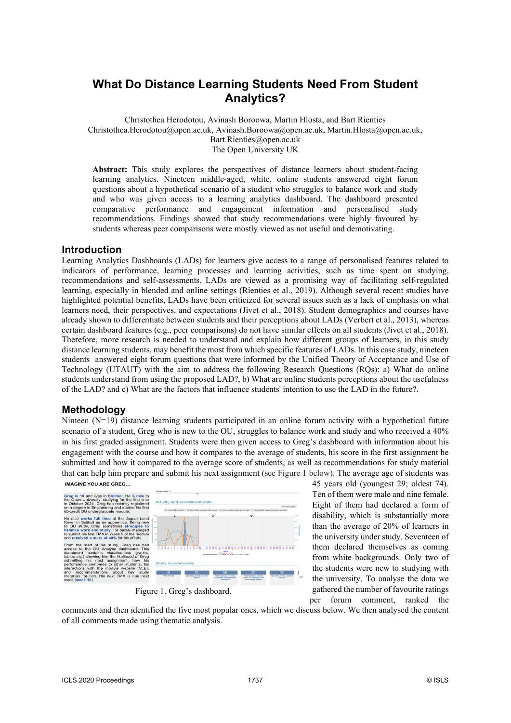# **What Do Distance Learning Students Need From Student Analytics?**

Christothea Herodotou, Avinash Boroowa, Martin Hlosta, and Bart Rienties Christothea.Herodotou@open.ac.uk, Avinash.Boroowa@open.ac.uk, Martin.Hlosta@open.ac.uk, Bart.Rienties@open.ac.uk The Open University UK

**Abstract:** This study explores the perspectives of distance learners about student-facing learning analytics. Nineteen middle-aged, white, online students answered eight forum questions about a hypothetical scenario of a student who struggles to balance work and study and who was given access to a learning analytics dashboard. The dashboard presented comparative performance and engagement information and personalised study recommendations. Findings showed that study recommendations were highly favoured by students whereas peer comparisons were mostly viewed as not useful and demotivating.

### **Introduction**

Learning Analytics Dashboards (LADs) for learners give access to a range of personalised features related to indicators of performance, learning processes and learning activities, such as time spent on studying, recommendations and self-assessments. LADs are viewed as a promising way of facilitating self-regulated learning, especially in blended and online settings (Rienties et al., 2019). Although several recent studies have highlighted potential benefits, LADs have been criticized for several issues such as a lack of emphasis on what learners need, their perspectives, and expectations (Jivet et al., 2018). Student demographics and courses have already shown to differentiate between students and their perceptions about LADs (Verbert et al., 2013), whereas certain dashboard features (e.g., peer comparisons) do not have similar effects on all students (Jivet et al., 2018). Therefore, more research is needed to understand and explain how different groups of learners, in this study distance learning students, may benefit the most from which specific features of LADs. In this case study, nineteen students answered eight forum questions that were informed by the Unified Theory of Acceptance and Use of Technology (UTAUT) with the aim to address the following Research Questions (RQs): a) What do online students understand from using the proposed LAD?, b) What are online students perceptions about the usefulness of the LAD? and c) What are the factors that influence students' intention to use the LAD in the future?.

#### **Methodology**

Ninteen (N=19) distance learning students participated in an online forum activity with a hypothetical future scenario of a student, Greg who is new to the OU, struggles to balance work and study and who received a 40% in his first graded assignment. Students were then given access to Greg's dashboard with information about his engagement with the course and how it compares to the average of students, his score in the first assignment he submitted and how it compared to the average score of students, as well as recommendations for study material that can help him prepare and submit his next assignment (see Figure 1 below). The average age of students was



45 years old (youngest 29; oldest 74). Ten of them were male and nine female. Eight of them had declared a form of disability, which is substantially more than the average of 20% of learners in the university under study. Seventeen of them declared themselves as coming from white backgrounds. Only two of the students were new to studying with the university. To analyse the data we gathered the number of favourite ratings per forum comment, ranked the

comments and then identified the five most popular ones, which we discuss below. We then analysed the content of all comments made using thematic analysis.